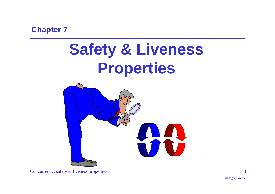**Chapter 7**

# **Safety & Liveness Properties**

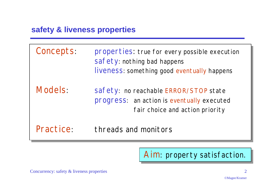## **safety & liveness properties**

Concepts: properties: true for every possible execution safety: nothing bad happens liveness: something good *eventually* happens

Models: safety: no reachable ERROR/STOP state progress: an action is *eventually* executed fair choice and action priority

Practice: threads and monitors

Aim: property satisfaction.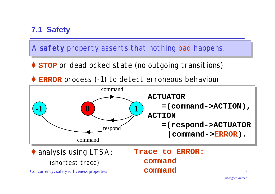# **7.1 Safety**

A **safety** property asserts that nothing bad happens.

- ♦ **STOP** or deadlocked state (no outgoing transitions)
- **ERROR** process (-1) to detect erroneous behaviour

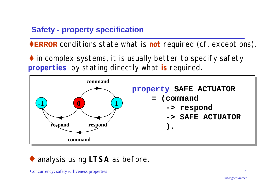# **Safety - property specification**

♦**ERROR** conditions state what is **not** required (cf. exceptions).

♦ in complex systems, it is usually better to specify safety **properties** by stating directly what **is** required.



# ◆ analysis using *LTSA* as before.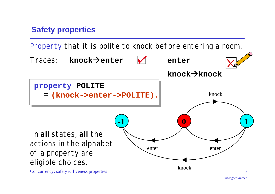# **Safety properties**

Property that it is polite to knock before entering a room.

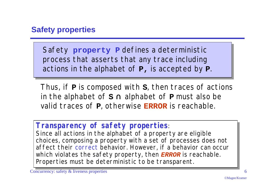# **Safety properties**

Safety **property P** defines a deterministic process that asserts that any trace including actions in the alphabet of **P,** is accepted by **P**.

Thus, if **P** is composed with **S**, then traces of actions in the alphabet of **S** ∩ alphabet of **P** must also be valid traces of **P**, otherwise **ERROR** is reachable.

## *Transparency of safety properties:*

*Since all actions in the alphabet of a property are eligible choices, composing a property with a set of processes does not affect their correct behavior. However, if a behavior can occur which violates the safety property, then ERROR is reachable. Properties must be deterministic to be transparent.*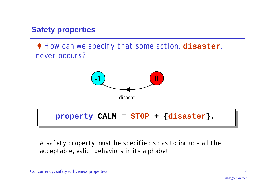# **Safety properties**

♦ How can we specify that some action, **disaster**, never occurs?



A safety property must be specified so as to include all the acceptable, valid behaviors in its alphabet.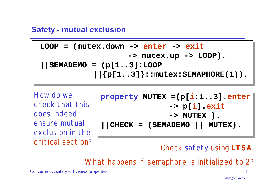#### **Safety - mutual exclusion**

$$
\text{LOOP} = (\text{mutes-down} \rightarrow \text{enter} \rightarrow \text{exit} \rightarrow \text{mutes.up} \rightarrow \text{LOOP}).
$$
\n
$$
|\text{SEMADEMO} = (p[1..3]:\text{LOOP} \times \text{FWAPHORE}(1)).
$$

How do we check that this does indeed ensure mutual exclusion in the critical section?

| property MUTEX = $(p[i:13] . enter$       |
|-------------------------------------------|
| $\rightarrow$ p[i].exit                   |
| $\rightarrow$ MUTEX ).                    |
| $\vert$ CHECK = (SEMADEMO $\vert$ MUTEX). |

*Check safety using LTSA.*

*What happens if semaphore is initialized to 2?*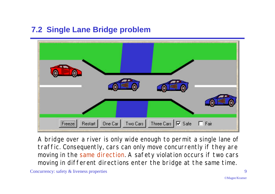# **7.2 Single Lane Bridge problem**



A bridge over a river is only wide enough to permit a single lane of traffic. Consequently, cars can only move concurrently if they are moving in the same direction. A safety violation occurs if two cars moving in different directions enter the bridge at the same time.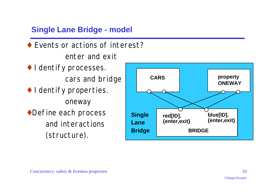# **Single Lane Bridge - model**

- ♦ Events or actions of interest? enter and exit
- ♦ Identify processes. cars and bridge ♦ Identify properties.
- oneway ◆Define each process and interactions (structure).

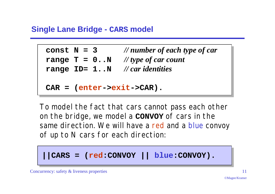## **Single Lane Bridge - CARS model**

```
const N = 3 // number of each type of car
range T = 0..N // type of car count
range ID= 1..N // car identities
```

```
CAR = (enter->exit->CAR).
```
To model the fact that cars cannot pass each other on the bridge, we model a **CONVOY** of cars in the same direction. We will have a red and a blue convoy of up to N cars for each direction:

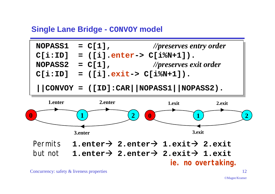#### **Single Lane Bridge - CONVOY model**

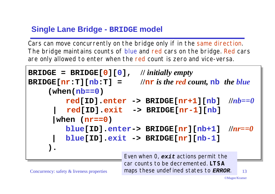# **Single Lane Bridge - BRIDGE model**

Cars can move concurrently on the bridge only if in the same direction. The bridge maintains counts of blue and red cars on the bridge. Red cars are only allowed to enter when the red count is zero and vice-versa.

```
Concurrency: safety & liveness properties 13 maps these undefined states to ERROR. 13
BRIDGE = BRIDGE[0][0], // initially empty
BRIDGE[nr: T][nb:T] = //nr is the red count, nb the blue
     (when(nb==0)
           red[ID].enter -> BRIDGE[nr+1][nb] //nb==0
           | red[ID].exit -> BRIDGE[nr-1][nb]
        |when (nr==0)
           blue[ID].enter-> BRIDGE[nr][nb+1] //nr==0
           | blue[ID].exit -> BRIDGE[nr][nb-1]
     ).
                          Even when 0, exit actions permit the
                          car counts to be decremented. LTSA
```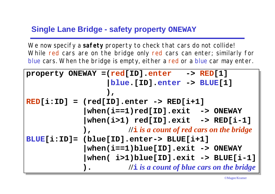#### **Single Lane Bridge - safety property ONEWAY**

We now specify a **safety** property to check that cars do not collide! While red cars are on the bridge only red cars can enter; similarly for blue cars. When the bridge is empty, either a red or a blue car may enter.

| property ONEWAY = $red[ID] . enter$ -> RED $[1]$ |                                                           |  |  |
|--------------------------------------------------|-----------------------------------------------------------|--|--|
|                                                  | blue. [ID].enter -> BLUE[1]                               |  |  |
|                                                  |                                                           |  |  |
| $RED[i:ID] = (red[ID].enter -> RED[i+1]$         |                                                           |  |  |
|                                                  | $\vert$ when(i==1)red[ID].exit -> ONEWAY                  |  |  |
|                                                  | $\vert$ when(i>1) red[ID].exit -> RED[i-1]                |  |  |
|                                                  | $\int$ $\int$ $\int$ is a count of red cars on the bridge |  |  |
| BLUE[i:ID]= (blue[ID].enter-> BLUE[i+1]          |                                                           |  |  |
|                                                  | $\vert$ when(i==1)blue[ID].exit -> ONEWAY                 |  |  |
|                                                  | $\vert$ when( i>1)blue[ID].exit -> BLUE[i-1]              |  |  |
|                                                  | $\frac{1}{i}$ is a count of blue cars on the bridge       |  |  |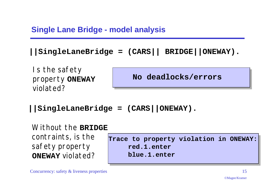# **Single Lane Bridge - model analysis**

```
||SingleLaneBridge = (CARS|| BRIDGE||ONEWAY).
```
*Is the safety property* **ONEWAY** *violated?*

**No deadlocks/errors**

**||SingleLaneBridge = (CARS||ONEWAY).**

*Without the* **BRIDGE** *contraints, is the safety property* **ONEWAY** *violated?*

**Trace to property violation in ONEWAY: red.1.enter blue.1.enter**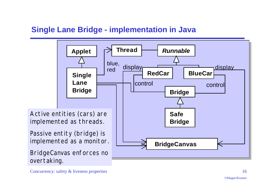# **Single Lane Bridge - implementation in Java**

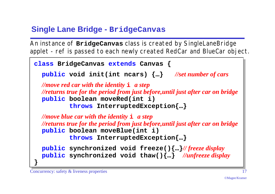# **Single Lane Bridge - BridgeCanvas**

An instance of **BridgeCanvas** class is created by SingleLaneBridge applet - ref is passed to each newly created RedCar and BlueCar object.

```
class BridgeCanvas extends Canvas {
   public void init(int ncars) {…} //set number of cars
   //move red car with the identity i a step
   //returns true for the period from just before,until just after car on bridge
   public boolean moveRed(int i)
            throws InterruptedException{…}
   //move blue car with the identity i a step
   //returns true for the period from just before,until just after car on bridge
   public boolean moveBlue(int i)
            throws InterruptedException{…}
   public synchronized void freeze(){…}// freeze display
   public synchronized void thaw(){…} //unfreeze display
}
```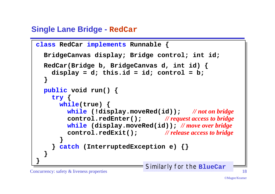# **Single Lane Bridge - RedCar**

```
class RedCar implements Runnable {
   BridgeCanvas display; Bridge control; int id;
   RedCar(Bridge b, BridgeCanvas d, int id) {
     display = d; this.id = id; control = b;
 }
   public void run() {
     try {
       while(true) {
         while (!display.moveRed(id)); // not on bridge
         control.redEnter(); // request access to bridge
         while (display.moveRed(id)); // move over bridge
         control.redExit(); // release access to bridge
 }
     } catch (InterruptedException e) {}
 }
}
                              Similarly for the BlueCar
```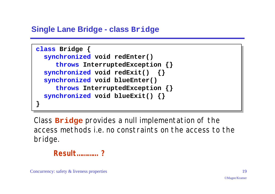#### **Single Lane Bridge - class Bridge**

```
class Bridge {
   synchronized void redEnter()
      throws InterruptedException {}
   synchronized void redExit() {}
   synchronized void blueEnter()
      throws InterruptedException {}
   synchronized void blueExit() {}
}
```
Class **Bridge** provides a null implementation of the access methods i.e. no constraints on the access to the bridge.

*Result………… ?*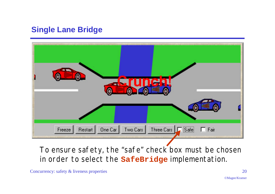# **Single Lane Bridge**



To ensure safety, the "safe" check box must be chosen in order to select the **SafeBridge** implementation.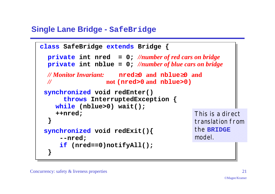## **Single Lane Bridge - SafeBridge**

```
class SafeBridge extends Bridge {
   private int nred = 0; //number of red cars on bridge
   private int nblue = 0; //number of blue cars on bridge
  // Monitor Invariant: nred≥0 and nblue≥0 and
  // not (nred>0 and nblue>0)
 synchronized void redEnter()
       throws InterruptedException {
     while (nblue>0) wait();
     ++nred;
 }
 synchronized void redExit(){
      --nred;
     if (nred==0)notifyAll();
 }
                                           This is a direct
                                           translation from
                                           the BRIDGE
                                           model.
```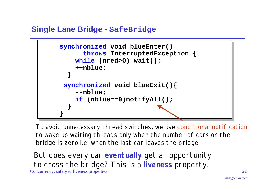## **Single Lane Bridge - SafeBridge**



To avoid unnecessary thread switches, we use *conditional notification* to wake up waiting threads only when the number of cars on the bridge is zero i.e. when the last car leaves the bridge.

Concurrency: safety & liveness properties 22 *But does every car eventually get an opportunity to cross the bridge? This is a liveness property.*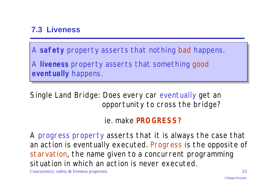# **7.3 Liveness**

A **safety** property asserts that nothing bad happens.

A **liveness** property asserts that something good *eventually* happens.

Single Land Bridge: *Does every car eventually get an opportunity to cross the bridge?*

# ie. make **PROGRESS?**

A progress property asserts that it is *always* the case that an action is *eventually* executed. Progress is the opposite of *starvation*, the name given to a concurrent programming situation in which an action is never executed.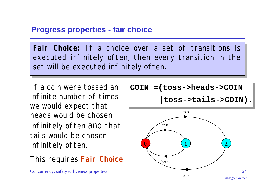## **Progress properties - fair choice**

**Fair Choice:** If a choice over a set of transitions is executed infinitely often, then every transition in the set will be executed infinitely often.

If a coin were tossed an infinite number of times, we would expect that heads would be chosen infinitely often and that tails would be chosen infinitely often.

This requires **Fair Choice** !

$$
C O IN = (toss-)heads - >C O IN
$$

$$
|\texttt{toss-}>\texttt{tails-}>\texttt{COIN}|.
$$

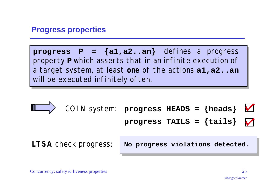#### **Progress properties**

**progress P = {a1,a2..an}** defines a progress property **P** which asserts that in an infinite execution of a target system, at least **one** of the actions **a1,a2..an** will be executed infinitely often.

$$
\begin{array}{c}\n\hline\n\text{CON system: progress HEADS = {heads} & \\\n\end{array}
$$
\nForogress TALLS = {tails}  $\blacksquare$ 

\nLTSA check progress:  $\begin{array}{|l|}\n\hline\n\text{No progress violations detected.}\n\end{array}$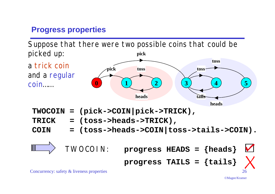# **Progress properties**

**pick** Suppose that there were two possible coins that could be picked up:

a trick coin and a regular coin……



- **TWOCOIN = (pick->COIN|pick->TRICK),**
- **TRICK = (toss->heads->TRICK),**
- **COIN = (toss->heads->COIN|toss->tails->COIN).**

$$
\begin{array}{ccc}\n\hline\n\end{array}\n\qquad \qquad \text{TWOCOIN:} \qquad \text{progress HEADS} = \{heads\} \qquad \text{Y}\n\qquad \text{progress TAILS} = \{tails\} \qquad \text{Y}\n\qquad \qquad \text{Cone process represents a specific value of the following properties.}
$$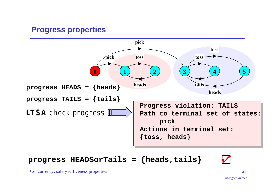## **Progress properties**



**progress HEADSorTails = {heads,tails} ?**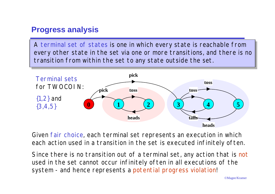## **Progress analysis**

A terminal set of states is one in which every state is reachable from every other state in the set via one or more transitions, and there is no transition from within the set to any state outside the set.



Given fair choice, each terminal set represents an execution in which each action used in a transition in the set is executed infinitely often.

system - and hence represents a potential progress violation! Since there is no transition out of a terminal set, any action that is not used in the set cannot occur infinitely often in all executions of the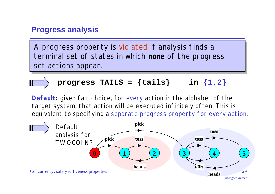#### **Progress analysis**

A progress property is violated if analysis finds a terminal set of states in which **none** of the progress set actions appear.

$$
\longrightarrow
$$
 progress TALS = {tails} in {1,2}

**Default:** given fair choice, for *every* action in the alphabet of the target system, that action will be executed infinitely often. This is equivalent to specifying a separate progress property for every action.

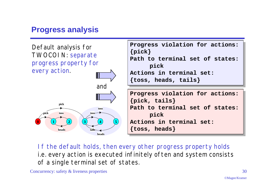# **Progress analysis**



*If the default holds, then every other progress property holds i.e. every action is executed infinitely often and system consists of a single terminal set of states.*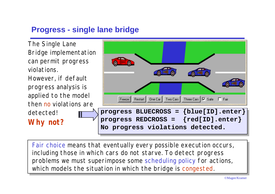## **Progress - single lane bridge**



which models the situation in which the bridge is congested. Fair choice means that eventually every possible execution occurs, including those in which cars do not starve. To detect progress problems we must superimpose some scheduling policy for actions,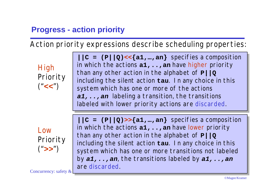# **Progress - action priority**

Action priority expressions describe scheduling properties:

**High** Priority ("**<<**")

 $|C = (P||Q) \ll \{a1, ..., an\}$  specifies a composition in which the actions  $a_1, \ldots, a_n$  have higher priority than any other action in the alphabet of **P||Q** including the silent action **tau**. *In any choice in this system which has one or more of the actions a1,..,an labeling a transition, the transitions labeled with lower priority actions are discarded.*

Low Priority ("**>>**")

**||C = (P||Q)>>{a1,…,an}** specifies a composition in which the actions  $a1, \ldots, a$ n have lower priority than any other action in the alphabet of **P||Q** including the silent action **tau**. *In any choice in this system which has one or more transitions not labeled by a1,..,an, the transitions labeled by a1,..,an are discarded.*

Concurrency: safety  $\&$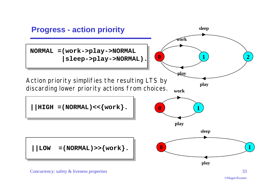

©Magee/Kramer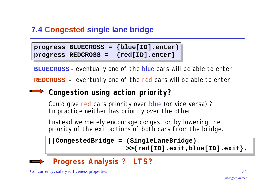# **7.4 Congested single lane bridge**

**progress BLUECROSS = {blue[ID].enter} progress REDCROSS = {red[ID].enter}**

**BLUECROSS** - eventually one of the blue cars will be able to enter

**REDCROSS -** eventually one of the red cars will be able to enter

# *Congestion using action priority***?**

Could give red cars priority over blue (or vice versa) ? In practice neither has priority over the other.

Instead we merely encourage congestion by *lowering the priority of the exit actions of both cars from the bridge*.

```
||CongestedBridge = (SingleLaneBridge)
                   >>{red[ID].exit,blue[ID].exit}.
```


# *Progress Analysis* **?** *LTS?*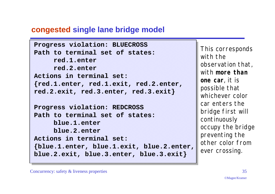## **congested single lane bridge model**

```
Progress violation: BLUECROSS
Path to terminal set of states:
     red.1.enter
     red.2.enter
Actions in terminal set:
{red.1.enter, red.1.exit, red.2.enter,
red.2.exit, red.3.enter, red.3.exit}
Progress violation: REDCROSS
Path to terminal set of states:
     blue.1.enter
     blue.2.enter
Actions in terminal set:
{blue.1.enter, blue.1.exit, blue.2.enter,
blue.2.exit, blue.3.enter, blue.3.exit}
```
This corresponds with the observation that, with *more than one car*, it is possible that whichever color car enters the bridge first will continuously occupy the bridge preventing the other color from ever crossing.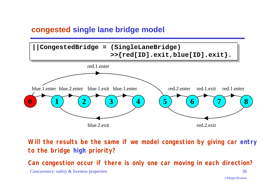## **congested single lane bridge model**



*Will the results be the same if we model congestion by giving car entry to the bridge high priority?*

*Can congestion occur if there is only one car moving in each direction?*

Concurrency: safety & liveness properties 36

©Magee/Kramer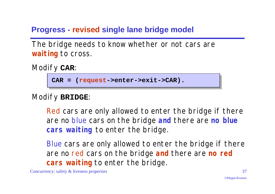# **Progress - revised single lane bridge model**

The bridge needs to know whether or not cars are **waiting** to cross.

Modify **CAR**:

```
CAR = (request->enter->exit->CAR).
```
Modify **BRIDGE**:

Red cars are only allowed to enter the bridge if there are no blue cars on the bridge **and** there are *no blue cars waiting* to enter the bridge.

Blue cars are only allowed to enter the bridge if there are no red cars on the bridge **and** there are *no red cars waiting* to enter the bridge.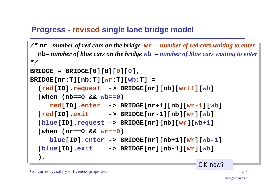## **Progress - revised single lane bridge model**

```
/* nr– number of red cars on the bridge wr – number of red cars waiting to enter
   nb– number of blue cars on the bridge wb – number of blue cars waiting to enter
*/
BRIDGE = BRIDGE[0][0][0][0],
BRIDGE[nr:T][nb:T][wr:T][wb:T] =
   (red[ID].request -> BRIDGE[nr][nb][wr+1][wb]
   |when (nb==0 && wb==0)
      red[ID].enter -> BRIDGE[nr+1][nb][wr-1][wb]
   |red[ID].exit -> BRIDGE[nr-1][nb][wr][wb]
   |blue[ID].request -> BRIDGE[nr][nb][wr][wb+1]
    |when (nr==0 && wr==0)
      blue[ID].enter -> BRIDGE[nr][nb+1][wr][wb-1]
   |blue[ID].exit -> BRIDGE[nr][nb-1][wr][wb]
 ).
                                                OK now?
```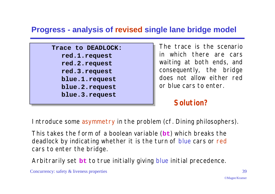## **Progress - analysis of revised single lane bridge model**

**Trace to DEADLOCK: red.1.request red.2.request red.3.request blue.1.request blue.2.request blue.3.request**

The trace is the scenario in which there are cars waiting at both ends, and consequently, the bridge does not allow either red or blue cars to enter.

## *Solution?*

Introduce some asymmetry in the problem (cf. Dining philosophers).

This takes the form of a boolean variable (**bt**) which breaks the deadlock by indicating whether it is the turn of blue cars or red cars to enter the bridge.

Arbitrarily set **bt** to true initially giving blue initial precedence.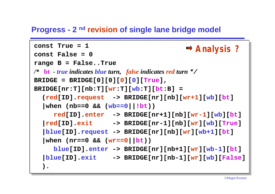#### **Progress - 2 nd revision of single lane bridge model**

```
Concurrency: safety & liveness properties 40
const True = 1
const False = 0
range B = False..True
/* bt - true indicates blue turn, false indicates red turn */
BRIDGE = BRIDGE[0][0][0][0][True],
BRIDGE[nr:T][nb:T][wr:T][wb:T][bt:B] =
    (red[ID].request -> BRIDGE[nr][nb][wr+1][wb][bt]
    |when (nb==0 && (wb==0||!bt))
      red[ID].enter -> BRIDGE[nr+1][nb][wr-1][wb][bt]
    |red[ID].exit -> BRIDGE[nr-1][nb][wr][wb][True]
    |blue[ID].request -> BRIDGE[nr][nb][wr][wb+1][bt]
   |when (nr==0 & & (wr==0||bt)) blue[ID].enter -> BRIDGE[nr][nb+1][wr][wb-1][bt]
    |blue[ID].exit -> BRIDGE[nr][nb-1][wr][wb][False]
    ).
                                        Analysis ?
```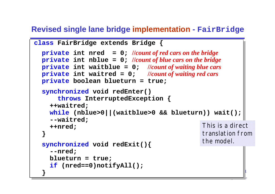#### **Revised single lane bridge implementation - FairBridge**

```
\mathcal{C}class FairBridge extends Bridge {
   private int nred = 0; //count of red cars on the bridge
   private int nblue = 0; //count of blue cars on the bridge
   private int waitblue = 0; //count of waiting blue cars
   private int waitred = 0; //count of waiting red cars
   private boolean blueturn = true;
   synchronized void redEnter()
        throws InterruptedException {
      ++waitred;
     while (nblue>0||(waitblue>0 && blueturn)) wait();
      --waitred;
      ++nred;
  }
    synchronized void redExit(){
      --nred;
     blueturn = true;
      if (nred==0)notifyAll();
  }
                                              This is a direct
                                              translation from
                                              the model.
```
©Magee/Kramer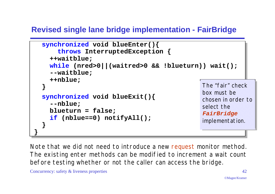# **Revised single lane bridge implementation - FairBridge**

```
 synchronized void blueEnter(){
       throws InterruptedException {
     ++waitblue;
     while (nred>0||(waitred>0 && !blueturn)) wait();
     --waitblue;
     ++nblue;
 }
   synchronized void blueExit(){
     --nblue;
     blueturn = false;
     if (nblue==0) notifyAll();
 }
}
                                                 The "fair" check
                                                 box must be
                                                 chosen in order to
                                                 select the
                                                 FairBridge
                                                 implementation.
```
Note that we did not need to introduce a new request monitor method. The existing enter methods can be modified to increment a wait count before testing whether or not the caller can access the bridge.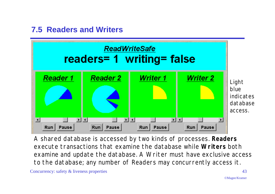# **7.5 Readers and Writers**



A shared database is accessed by two kinds of processes. **Readers** execute transactions that examine the database while **Writers** both examine and update the database. A Writer must have exclusive access to the database; any number of Readers may concurrently access it.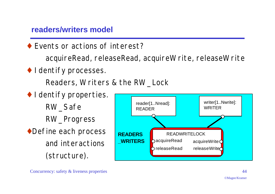#### **readers/writers model**

♦ Events or actions of interest?

acquireRead, releaseRead, acquireWrite, releaseWrite

♦ Identify processes.

Readers, Writers & the RW\_Lock

 $\bullet$  I dentify properties. RW\_Safe RW\_Progress ◆Define each process and interactions (structure).

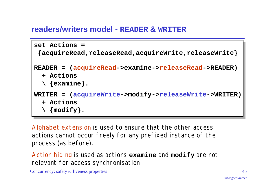#### **readers/writers model - READER & WRITER**

```
set Actions =
  {acquireRead,releaseRead,acquireWrite,releaseWrite}
READER = (acquireRead->examine->releaseRead->READER)
   + Actions
   \ {examine}.
WRITER = (acquireWrite->modify->releaseWrite->WRITER)
   + Actions
   \ {modify}.
```
Alphabet extension is used to ensure that the other access actions cannot occur freely for any prefixed instance of the process (as before).

Action hiding is used as actions **examine** and **modify** are not relevant for access synchronisation.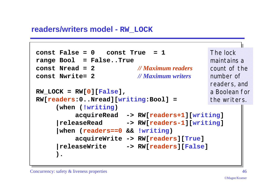#### **readers/writers model - RW\_LOCK**

```
const False = 0 const True = 1
range Bool = False..True
const Nread = 2 // Maximum readers
const Nwrite= 2 // Maximum writers
RW_LOCK = RW[0][False],
RW[readers:0..Nread][writing:Bool] =
     (when (!writing)
          acquireRead -> RW[readers+1][writing]
     |releaseRead -> RW[readers-1][writing]
     |when (readers==0 && !writing)
           acquireWrite -> RW[readers][True]
     |releaseWrite -> RW[readers][False]
     ).
                                             The lock
                                             maintains a
                                             count of the
                                             number of
                                             readers, and
                                             a Boolean for
                                             the writers.
```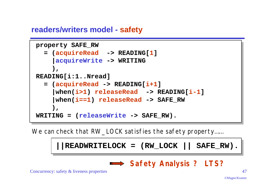#### **readers/writers model - safety**

```
property SAFE_RW
   = (acquireRead -> READING[1]
     |acquireWrite -> WRITING
     ),
READING[i:1..Nread]
   = (acquireRead -> READING[i+1]
      |when(i>1) releaseRead -> READING[i-1]
      |when(i==1) releaseRead -> SAFE_RW
 ),
WRITING = (releaseWrite -> SAFE_RW).
```
We can check that RW\_LOCK satisfies the safety property......



*Safety Analysis* **?** *LTS?*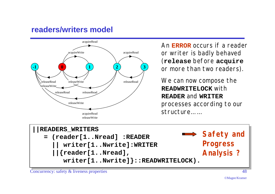#### **readers/writers model**



An **ERROR** occurs if a reader or writer is badly behaved (**release** before **acquire** or more than two readers).

We can now compose the **READWRITELOCK** with **READER** and **WRITER** processes according to our structure… …

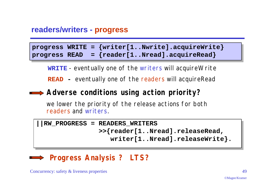#### **readers/writers - progress**

|  | progress WRITE = $\{written[1Nwrite].acquireWrite\}$ |
|--|------------------------------------------------------|
|  | progress READ = ${rec1Nread}.acquireRead}$           |

**WRITE** - eventually one of the writers will acquireWrite

**READ -** eventually one of the readers will acquireRead

## *Adverse conditions using action priority***?**

we lower the priority of the release actions for both readers and writers.

```
||RW_PROGRESS = READERS_WRITERS
                >>{reader[1..Nread].releaseRead,
                   writer[1..Nread].releaseWrite}.
```
# *Progress Analysis* **?** *LTS?*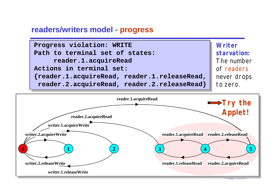#### **readers/writers model - progress**





©Magee/Kramer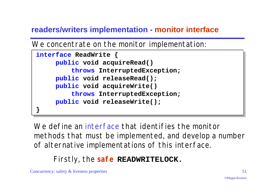# **readers/writers implementation - monitor interface**

We concentrate on the monitor implementation:

```
interface ReadWrite {
      public void acquireRead()
          throws InterruptedException;
      public void releaseRead();
      public void acquireWrite()
          throws InterruptedException;
      public void releaseWrite();
}
```
We define an interface that identifies the monitor methods that must be implemented, and develop a number of alternative implementations of this interface.

*Firstly, the safe* **READWRITELOCK***.*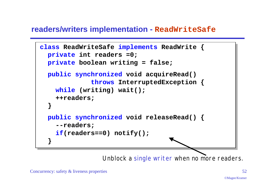#### **readers/writers implementation - ReadWriteSafe**

```
class ReadWriteSafe implements ReadWrite {
  private int readers =0;
   private boolean writing = false;
   public synchronized void acquireRead()
              throws InterruptedException {
     while (writing) wait();
     ++readers;
 }
   public synchronized void releaseRead() {
     --readers;
     if(readers==0) notify();
 }
```
Unblock a single writer *when no more readers.*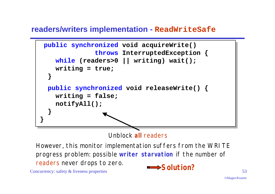#### **readers/writers implementation - ReadWriteSafe**



Unblock **all** readers

Concurrency: safety & liveness properties  $53$ However, this monitor implementation suffers from the WRITE progress problem: possible *writer starvation* if the number of readers never drops to zero.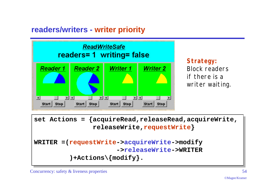# **readers/writers - writer priority**



*Strategy: Block readers if there is a writer waiting.*

**set Actions = {acquireRead,releaseRead,acquireWrite, releaseWrite,requestWrite} WRITER =(requestWrite->acquireWrite->modify ->releaseWrite->WRITER )+Actions\{modify}.**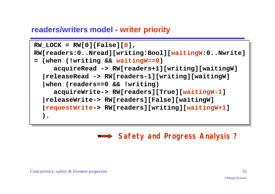#### **readers/writers model - writer priority**

```
RW LOCK = RW[0][False][0],
RW[readers:0..Nread][writing:Bool][waitingW:0..Nwrite]
= (when (!writing && waitingW==0)
      acquireRead -> RW[readers+1][writing][waitingW]
   |releaseRead -> RW[readers-1][writing][waitingW]
   |when (readers==0 && !writing)
      acquireWrite-> RW[readers][True][waitingW-1]
   |releaseWrite-> RW[readers][False][waitingW]
   |requestWrite-> RW[readers][writing][waitingW+1]
 ).
```
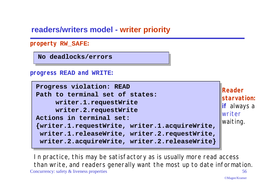#### **readers/writers model - writer priority**

```
property RW_SAFE:
```
**No deadlocks/errors**

**progress READ and WRITE:**

```
Progress violation: READ
Path to terminal set of states:
     writer.1.requestWrite
     writer.2.requestWrite
Actions in terminal set:
{writer.1.requestWrite, writer.1.acquireWrite,
 writer.1.releaseWrite, writer.2.requestWrite,
 writer.2.acquireWrite, writer.2.releaseWrite}
```
*Reader starvation: if* always a writer waiting.

Concurrency: safety & liveness properties 56 *In practice, this may be satisfactory as is usually more read access than write, and readers generally want the most up to date information.*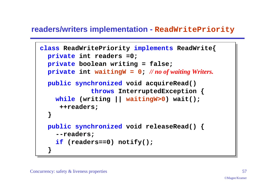#### **readers/writers implementation - ReadWritePriority**

```
class ReadWritePriority implements ReadWrite{
   private int readers =0;
   private boolean writing = false;
  private int waitingW = 0; // no of waiting Writers.
   public synchronized void acquireRead()
              throws InterruptedException {
     while (writing || waitingW>0) wait();
      ++readers;
 }
   public synchronized void releaseRead() {
     --readers;
     if (readers==0) notify();
 }
```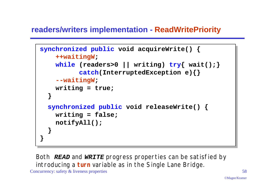## **readers/writers implementation - ReadWritePriority**

```
synchronized public void acquireWrite() {
     ++waitingW;
     while (readers>0 || writing) try{ wait();}
           catch(InterruptedException e){}
     --waitingW;
     writing = true;
 }
   synchronized public void releaseWrite() {
     writing = false;
     notifyAll();
 }
}
```
*Both READ and WRITE progress properties can be satisfied by introducing a turn variable as in the Single Lane Bridge.*